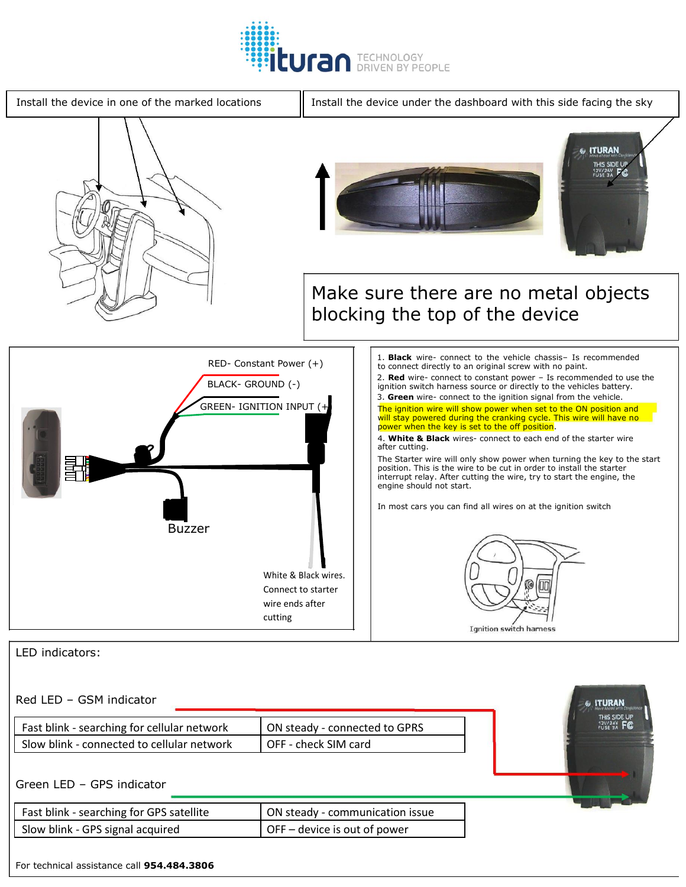



## LED indicators:

## Red LED – GSM indicator

| Fast blink - searching for cellular network | ON steady - connected to GPRS |  |
|---------------------------------------------|-------------------------------|--|
| Slow blink - connected to cellular network  | OFF - check SIM card          |  |

## Green LED – GPS indicator

| Fast blink - searching for GPS satellite | ON steady - communication issue |
|------------------------------------------|---------------------------------|
| Slow blink - GPS signal acquired         | $OFF$ – device is out of power  |